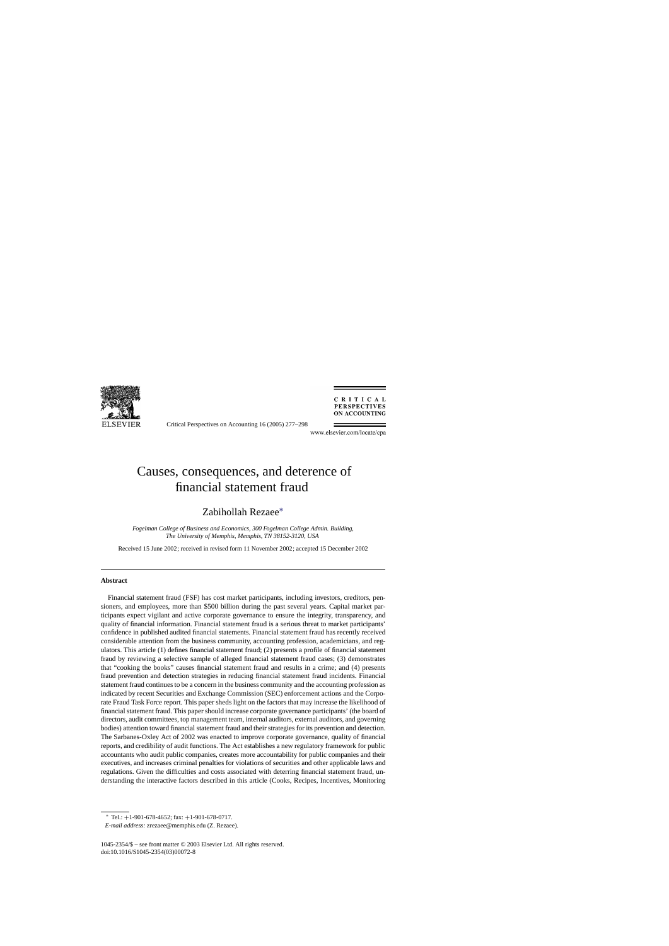

Critical Perspectives on Accounting 16 (2005) 277–298

CRITICAL **PERSPECTIVES ON ACCOUNTING** 

www.elsevier.com/locate/cpa

## Causes, consequences, and deterence of financial statement fraud

### Zabihollah Rezaee∗

*Fogelman College of Business and Economics, 300 Fogelman College Admin. Building, The University of Memphis, Memphis, TN 38152-3120, USA*

Received 15 June 2002; received in revised form 11 November 2002; accepted 15 December 2002

#### **Abstract**

Financial statement fraud (FSF) has cost market participants, including investors, creditors, pensioners, and employees, more than \$500 billion during the past several years. Capital market participants expect vigilant and active corporate governance to ensure the integrity, transparency, and quality of financial information. Financial statement fraud is a serious threat to market participants' confidence in published audited financial statements. Financial statement fraud has recently received considerable attention from the business community, accounting profession, academicians, and regulators. This article (1) defines financial statement fraud; (2) presents a profile of financial statement fraud by reviewing a selective sample of alleged financial statement fraud cases; (3) demonstrates that "cooking the books" causes financial statement fraud and results in a crime; and (4) presents fraud prevention and detection strategies in reducing financial statement fraud incidents. Financial statement fraud continues to be a concern in the business community and the accounting profession as indicated by recent Securities and Exchange Commission (SEC) enforcement actions and the Corporate Fraud Task Force report. This paper sheds light on the factors that may increase the likelihood of financial statement fraud. This paper should increase corporate governance participants' (the board of directors, audit committees, top management team, internal auditors, external auditors, and governing bodies) attention toward financial statement fraud and their strategies for its prevention and detection. The Sarbanes-Oxley Act of 2002 was enacted to improve corporate governance, quality of financial reports, and credibility of audit functions. The Act establishes a new regulatory framework for public accountants who audit public companies, creates more accountability for public companies and their executives, and increases criminal penalties for violations of securities and other applicable laws and regulations. Given the difficulties and costs associated with deterring financial statement fraud, understanding the interactive factors described in this article (Cooks, Recipes, Incentives, Monitoring

*E-mail address:* zrezaee@memphis.edu (Z. Rezaee).

1045-2354/\$ – see front matter © 2003 Elsevier Ltd. All rights reserved. doi:10.1016/S1045-2354(03)00072-8

<sup>∗</sup> Tel.: +1-901-678-4652; fax: +1-901-678-0717.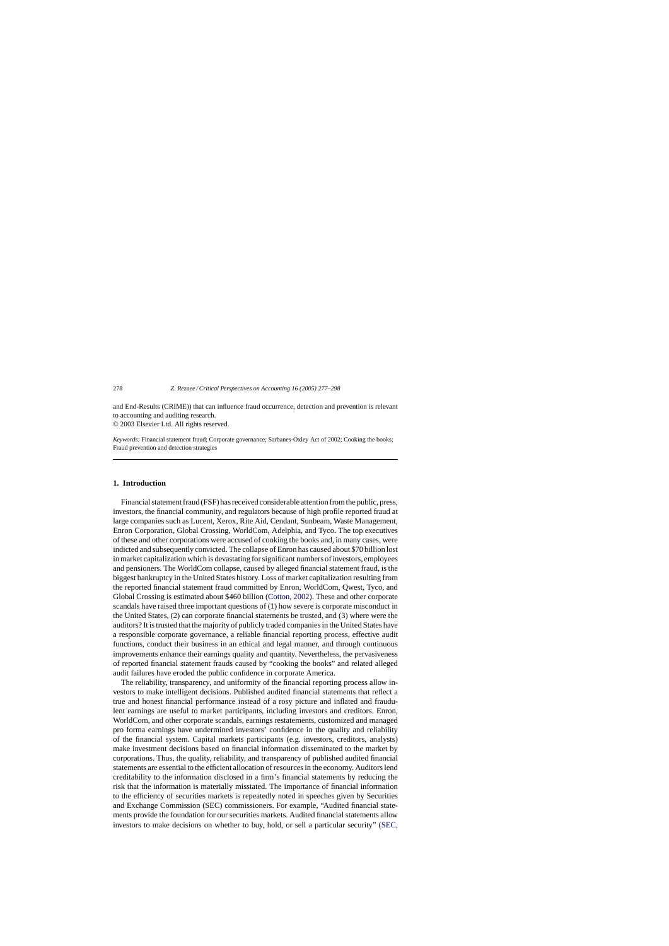and End-Results (CRIME)) that can influence fraud occurrence, detection and prevention is relevant to accounting and auditing research. © 2003 Elsevier Ltd. All rights reserved.

*Keywords:* Financial statement fraud; Corporate governance; Sarbanes-Oxley Act of 2002; Cooking the books; Fraud prevention and detection strategies

#### **1. Introduction**

Financial statement fraud (FSF) has received considerable attention from the public, press, investors, the financial community, and regulators because of high profile reported fraud at large companies such as Lucent, Xerox, Rite Aid, Cendant, Sunbeam, Waste Management, Enron Corporation, Global Crossing, WorldCom, Adelphia, and Tyco. The top executives of these and other corporations were accused of cooking the books and, in many cases, were indicted and subsequently convicted. The collapse of Enron has caused about \$70 billion lost in market capitalization which is devastating for significant numbers of investors, employees and pensioners. The WorldCom collapse, caused by alleged financial statement fraud, is the biggest bankruptcy in the United States history. Loss of market capitalization resulting from the reported financial statement fraud committed by Enron, WorldCom, Qwest, Tyco, and Global Crossing is estimated about \$460 billion ([Cotton, 2002\).](#page--1-0) These and other corporate scandals have raised three important questions of (1) how severe is corporate misconduct in the United States, (2) can corporate financial statements be trusted, and (3) where were the auditors? It is trusted that the majority of publicly traded companies in the United States have a responsible corporate governance, a reliable financial reporting process, effective audit functions, conduct their business in an ethical and legal manner, and through continuous improvements enhance their earnings quality and quantity. Nevertheless, the pervasiveness of reported financial statement frauds caused by "cooking the books" and related alleged audit failures have eroded the public confidence in corporate America.

The reliability, transparency, and uniformity of the financial reporting process allow investors to make intelligent decisions. Published audited financial statements that reflect a true and honest financial performance instead of a rosy picture and inflated and fraudulent earnings are useful to market participants, including investors and creditors. Enron, WorldCom, and other corporate scandals, earnings restatements, customized and managed pro forma earnings have undermined investors' confidence in the quality and reliability of the financial system. Capital markets participants (e.g. investors, creditors, analysts) make investment decisions based on financial information disseminated to the market by corporations. Thus, the quality, reliability, and transparency of published audited financial statements are essential to the efficient allocation of resources in the economy. Auditors lend creditability to the information disclosed in a firm's financial statements by reducing the risk that the information is materially misstated. The importance of financial information to the efficiency of securities markets is repeatedly noted in speeches given by Securities and Exchange Commission (SEC) commissioners. For example, "Audited financial statements provide the foundation for our securities markets. Audited financial statements allow investors to make decisions on whether to buy, hold, or sell a particular security" [\(SEC,](#page--1-0)